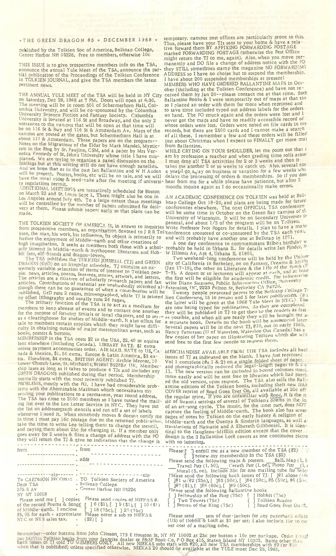<sup>+</sup> THE GREEN DRAGON #5 + DECEMBER 1968 <sup>+</sup>

published by the Tolkien Soc of America, Belknap College, Center Harbor NH 0.7226, Free to members, otherwise 10c

THIS ISSUE is to give prospective members info on the TSA, announce the annual Yule Meet of the TSA, announce the partial publication of the Proceedings of the Tolkien Conference in TOLKIEN JOURNAL, and give the TSA members the latest pertinent news.

THE ANNUAL YULE MEET of the TSA will be held in NY City on Saturday, Dec 28,1968 at <sup>7</sup> PM. Doors will open at 6:30. The meeting will be in room 501 of Schermerhorn Hall, Columbia University, and will be co-sponsored by the Columbia University Science Fiction and Fantasy Society. Columbia University is located at 116 St and Broadway, and the only 2 entrances to the campus that will be open at that time will be on 116 St & Bwy and 116 St & Amsterdam Av. Maps of the campus are posted at the gates, but Schermerhorn Hall is at about 117 & Amsterdam. Three papers are on the program- Notes on the Migrations of the Eldar by Mark Mandel, Mysticism in the Ring by Sr. Pauline, CSM, and a paper by Mrs Veronica Kennedy of St.Johns University whose title I have misplaced. We are trying to organize a panel discussion on the Inklings but at this writing still do not have enough panelists.<br>And we hope that as in the past Ian Ballantine and W H Auden will be present. Posters, books, etc will be on sale, and we will delays the have the usual cider & seed-cake after the meeting if universi- hear from findings but at this writing still do not have enough panelists. takes me another 2 or so weeks to catch us and we hope that as in the past Ian Ballantine and W H Auden a year of go a ray on business or vacation fixed in

on March 22 and St. Louis Sept 1. There might also be one in<br>Los Angeles around July 4th. To a large extent these meetings knap College Oct 18-20, and plans are being made for future<br>will be controlled by the number of pap  $\frac{1}{2}$  made. However, rease subturn papers early so that plans can be will be some time in October on the Green Bay campus of the

general, and about 1/3 of the program will be on Tolkien.<br>from prospective members, an organization devoted to J R R Tol conference sponsored or co-sponsored by the TSA each year,<br>kien, the man, his work, his influence, It further the enjoyment of Middle-earth <sup>S</sup> a <sup>15</sup> primeril<sup>Y</sup> t0 and will probably have another one at Belknap in 1971. hifi<sup>h</sup> imagination tr .JhA t " and other creations of . ... . nign imagination. It seeks as members ERICA Is, in answer to<br>ganization devoted to<br>lence, Its object is principle<br>embers both those with<br>mythopoec literature<br>lovers,<br>IEN JOURNAL (TJ) and<br>the TL COT of the Chedule TL COT both those with a schol-<br>pec literature and Hob-

 $t$ remely variable selection of items of interest to  $T$ olkien  $R$ ple; news, articles, poems, features, stories, artwork, and letters.<br>The articles are a mixture of scholarly revearch papers and fan<br>articles. Contributions of material are unaby the papers and fan though there can be no guarantee of when a contribution will be<br>published. GrD runs 2 pages, mimeographed, while 'TI is printed by offset lithography and usually runs 24 pages.<br>The primary function of the TSA is to act as a medium for

members to keep abreast of events and to contact one another for the purpose of forming Smials or local chapters, and to serve as a clearinghouse for studies of Middle-earth. It also offers for sale to members certain supplies which they might have difficulty in obtaining outside of major metropolitan areas, such as books, posters & buttons. '

and paying them about 25c for changing it. If a member only tical to the Haughton-Mifflin edition except that the cover<br>goes away for 2 weeks & files a change of address with the PO design is the 3 Ballantine LotR covers a MEMBERSHIP in the TSA costs \$2 in the USA, \$2.40 or equiva lent elsewhere (including Canada). LIBRARY RATE; \$1 extra unless payment accompanies order. AIR MAIL RATE to US Canada & Mexica, \$1. 50 extra. Europe & Latin America \$3 extra. Elsewhere, \$4 extra. BRITISH AGENT: Archie Mercer, 10 Lower Cnurch Lane, St. Michaels, Bristol BS28BA UK. Membership lases as long as it takes to produce 4 TJs and includes any<br>GREEN DRAGONS published during that period. Membership normally starts witn the most recently published TJ. PROBLEMS, mostly with the PO. I have had considerable problems with the Abominable Mailman which necessitates my sending your publications to a permanent, year round address sending your publications to a permanent, year round address.<br>The TSA has close to 2000 members so I have turned the mailing list over to the Lee Letter Service in NYC. They have put the list on addressograph stencils and run off a set of labels in time I must pay 16c postage due on the returned publication, Middle-earth and the Quenya & Sindarin languages, as well are take the time to write Lee telling them to change the stencil, translations of Namarie and A Elb and paying them about 25c for changing it. If a member only they will return the TJ & give no indication that the change is

they will return the  $\frac{1}{2}$  or  $\frac{1}{2}$  from from  $\frac{1}{2}$  from  $\frac{1}{2}$  from  $\frac{1}{2}$  from  $\frac{1}{2}$ addr -------------zip------- . <del>-</del> TO CAEDMON RECORDS . Dept TSA • 505 8 Av<br>NY NY 10018 NY NY 10018 • Please send me [ ] copies of the record Poems & Songf of Middle-earth. I enclose ------------------zip-<br>TO Tolkien Society of America Belknap College Center Harbor NH 03226 Please send copies of NIEKAS #:  $[$   $] 6$  (\$1), [  $] 9$  (\$1), [  $] 10$  (\$1) [ ] <sup>18</sup> (75c), [ ] 20 (75c)<br>Please enter a sub to NIEKAS<br>(\$2) [ ]

 $$5.95$  for each  $+$  appropriate NYC or NYS sales tax.

temporary; campus post offices are particularly prone to this. Thus, please have your TJs sent to your home & have a relative forward them BY AFFIXING FORWARDING POSTAGE marked FORWARDING POSTAGE (otherwise the Pest Office might return the TJ to me, again). Also, when you move permanently and DO file a change of address notice with the PO they STILL sometimes stamp the magazine NO FORWARDING ADDRESS so I have no choise but to suspend the membership. I have about 200 suspended memberships at present! MEMBERS WHO HAVE ORDERED BALLANTINE MAPS in October (including at the Tolkien Conference) and have not received them by Jan 20--please contact me at that time. Both Ballantine Books & I were temporarily out of maps at that time so I placed an order with them for more when reprinted and to save time included typed out address labels for the orders on hand. The PO struck again and the orders were lost and <sup>I</sup> never got the maps and have no readily accessible record oi whose orders were lost. Orders were noted on file cards in my records, but there are 2500 cards and I cannot make a search of all these. I remember a few and these orders will be filled just about Christmas when I expect to FINALLY get more mal

from Ballantine. WHILE CRYING ON YOUR SHOULDER, let me point out that <sup>I</sup> am by profession a teacher and when grading time rolls arour I must drop all TSA activities for 2 or 3 weeks and then it takes me another 2 or so weeks to catch up. Also, several tin a year-I go a ay on business or vacation for a few weeks while delays the processing of orders & memberships. So if you don hear from me for a while please have patience, but after 2 months inquire again as I do occassionally make errors.

University of Wisconsin. It will be on Secondary Universes in

creations of a A one day conference to commemorate Bilbo's birthday w with a schol- probably be held in Urbana IL; for details write Jan Finder, S<sup>1</sup> Hob- W Illinois Av, Apt 4, Urbana IL 61801.

Two weekend-long conferences will be held by the *Univer* sity of California in Berkeley, on on Fantasy, Dreams & My<sup>11</sup><br>(Jan 17-19), the other on Literature & the Life of the Schitt peo-  $7-9$ ). A dozen or so lecturers will appear at each, and at reasonable k, and letters. the first will be eligible for academic credit. For information<br>papers and fan write Diane Swanson, Public Information Office, University<br>ly solicited al-Extension, UC, 2223 Fulton St, Berkeley CA 94720.<br>ri

is printed lien Conference, 15 in person and 5 for later publication. the latter will be given at the 1968 Yule Meet in NYC.) In are now being typed for publication. As they are completed<br>they will be published in TJ to get then to the readers as fast as possible, and when all are ready they will be brought out a a separate book. Details on the book will be announced later<br>Several papers will be in the next TJ, #10, out in early 1969.<br>Nancy Patterson (U of Waterloo, Waterloo Ont Canada) has a few copies of her paper on illustrating Tolkien which she will send free to the first few people to request them.

MERCHANDISE AVAILABLE FROM THE TSA includes all back issues of TJ as indicated on the blank. I have just repimted Vol <sup>1</sup> complete (#s <sup>1</sup> & 2) on a single folded sheet of paper, and photographically reduced the legal-length pages to  $8.5 \times$ 11. The new version can be included in bound volumes much more easily and will be sent free to libraries which had purch. ed the old version, upon request. The TSA also sells the Ball-<br>antine editions of the Tolkien books, including their new HAR<br>COVER reprint of Road Goes Ever On, all available at 20c off the regular price. If you are unfamiliar with Road, it is the m sic of Swann's settings of several of Tolkien's poems in the foiof an art-song cycle. The music, for the most part, does NOT capture the feeling of Middle-earth. The book also has sever; pages of notes by Tolkien on the early history & religion of translations of Namarie and <sup>A</sup> Elbereth Gilthoniel. It is idendesign is the 3 Ballantine LotR covers as one continuous picture with no lettering. Please [1] enfoll me as a new member of the TSA (\$2) .<br>Please [1] enfoll me as a new member of the TSA (\$2) .<br>The TEA (\$2) ... somebody moves & doesnt notify me pages of notes by Tolkien on the early history & religion of

Please send the following maps & posters: Ball. Map (1.5) Travel Pstr  $(1.50)$ , Cereth Pstr  $(1.00)$ , Photo Pstr  $(1.$ 

Mural (5. oo). Include 35c for one mailing tube for order  $\frac{1}{2}$  Please send the following back issues of TJ: [ ]#1 alone (10c [ ]#1 w/#2 (25c), [ ]#3 (50c), [ ]#4 (50c), #5 (50c), #6 (50c)<br>[ ]#7 (\$1), [ ]#8 (60c), [ ]#9 (50c).<br>Please send the following Ballantine books

[ ] Fellowship of the Ring (75c) [ ] Hobbit (75c)

[ ] Two Towers (75c) [ ] Tolkien Reader [ ] Road Goes Ever On (2. [ ] Two Towers (75c) [ ] Return of the King (75c)

Please send sets of dust-jackets for any paperback edition (US) of Hobbit & LotR at \$1 per set; I also include 10c to cover cost of a mailing tube.

ver cost of a mailing tube.<br>
Reulember--order buttons from John Closson, 179 E Houston St, NY NY 10002 at 25c per button + 10c per package. Order Houst<br>
ton Mifflin Tolkien books from your favorite dealer or F&SF Book Co,